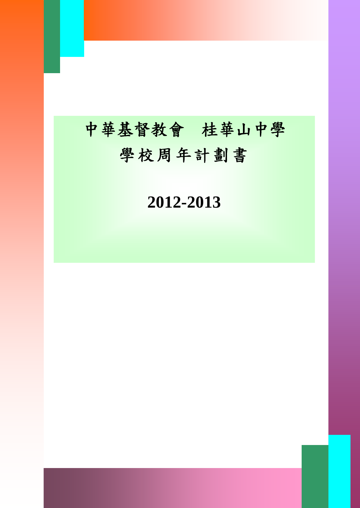# 中華基督教會 桂華山中學 學校周年計劃書

I

# **2012-2013**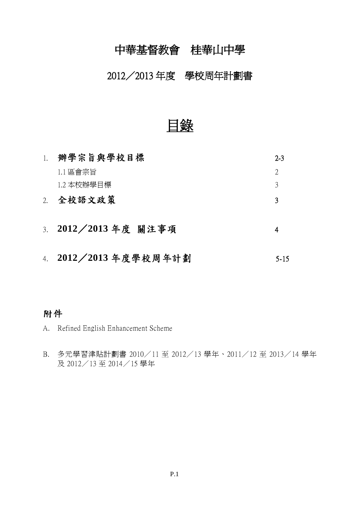## 中華基督教會 桂華山中學

### 2012/2013 年度 學校周年計劃書

目錄

| 1. | 辦學宗旨與學校目標           | $2 - 3$                     |
|----|---------------------|-----------------------------|
|    | 1.1 區會宗旨            | $\mathcal{D}_{\mathcal{L}}$ |
|    | 1.2 本校辦學目標          | 3                           |
| 2. | 全校語文政策              | っ                           |
|    | 3. 2012/2013年度 關注事項 |                             |

4. **2012 2013** 5-15

### 附件

- A. Refined English Enhancement Scheme
- B. 多元學習津貼計劃書 2010/11 至 2012/13 學年、2011/12 至 2013/14 學年 及 2012/13 至 2014/15 學年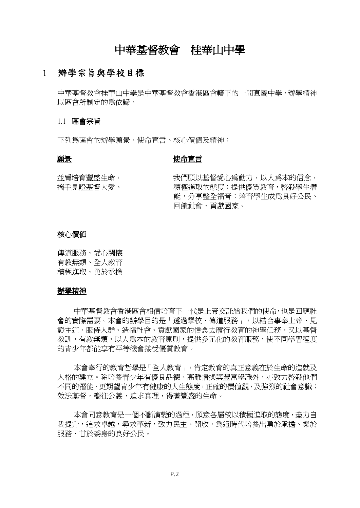### 中華基督教會 桂華山中學

#### 辦學宗旨與學校目標 1

中華基督教會桂華山中學是中華基督教會香港區會轄下的一間直屬中學,辦學精神 以區會所制定的為依歸。

#### 1.1 區會宗旨

下列為區會的辦學願景、使命宣言、核心價值及精神:

#### 願景

#### 使命宣言

並肩培育豐盛生命, 攜手見證基督大愛。 我們願以基督愛心為動力,以人為本的信念, 積極進取的態度;提供優質教育,啟發學生潛 能,分享整全福音;培育學生成為良好公民、 回饋社會、貢獻國家。

#### 核心價值

傳道服務、愛心關懷 有教無類、全人教育 積極進取、勇於承擔

#### 辦學精神

中華基督教會香港區會相信培育下一代是上帝交託給我們的使命,也是回應社 會的實際需要。本會的辦學目的是「透過學校、傳道服務」,以結合事奉上帝、見 證主道、服侍人群、造福社會、貢獻國家的信念去履行教育的神聖任務。又以基督 教訓,有教無類,以人為本的教育原則,提供多元化的教育服務,使不同學習程度 的青少年都能享有平等機會接受優質教育。

本會奉行的教育哲學是「全人教育」,肯定教育的真正意義在於生命的造就及 人格的建立。除培養青少年有優良品德、高雅情操與豐富學識外,亦致力啟發他們 不同的潛能,更期望青少年有健康的人生態度,正確的價值觀,及強烈的社會意識; 效法基督,嚮往公義,追求真理,得著豐盛的生命。

本會同意教育是一個不斷演變的過程,願意各屬校以積極淮取的態度,盡力自 我提升,追求卓越,尋求革新,致力民主、開放,爲這時代培養出勇於承擔、樂於 服務、甘於委身的良好公民。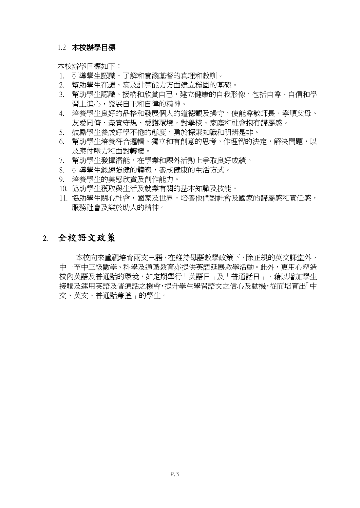#### 1.2 本校辦學目標

本校辦學目標如下:

- 1. 引導學生認識、了解和實踐基督的真理和教訓。
- 2. 幫助學生在讀、寫及計算能力方面建立穩固的基礎。
- 3. 幫助學生認識、接納和欣賞自己,建立健康的自我形像,包括自尊、自信和學 習上進心,發展自主和自律的精神。
- 4. 培養學生良好的品格和發展個人的道德觀及操守,使能尊敬師長、孝順父母、 友愛同儕、盡責守規、愛護環境,對學校、家庭和社會抱有歸屬感。
- 5. 鼓勵學生養成好學不倦的態度,勇於探索知識和明辨是非。
- 6. 幫助學生培養符合邏輯、獨立和有創意的思考,作理智的決定,解決問題,以 及應付壓力和面對轉變。
- 7. 幫助學生發揮潛能,在學業和課外活動上爭取良好成績。
- 8. 引導學生鍛練強健的體魄,養成健康的生活方式。
- 9. 培養學生的美感欣賞及創作能力。
- 10. 協助學生獲取與生活及就業有關的基本知識及技能。
- 11. 協助學生關心社會,國家及世界,培養他們對社會及國家的歸屬感和責任感, 服務社會及樂於助人的精神。

### 2. 全校語文政策

本校向來重視培育兩文三語,在維持母語教學政策下,除正規的英文課堂外, 中一至中三級數學、科學及通識教育亦提供英語延展教學活動。此外,更用心塑造 校內英語及普通話的環境,如定期舉行「英語日」及「普通話日」,藉以增加學生 接觸及運用英語及普通話之機會,提升學生學習語文之信心及動機,從而培育出「中 文、英文、普通話兼擅」的學生。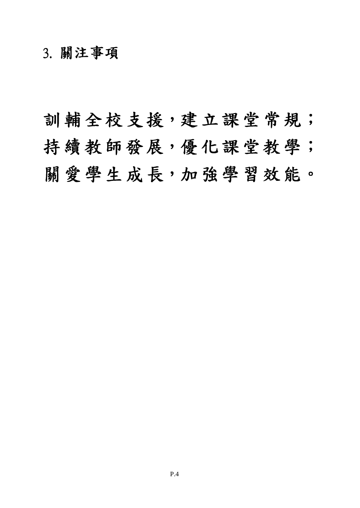# 3. 關注事項

訓輔全校支援,建立課堂常規; 持續教師發展,優化課堂教學; 關愛學生成長,加強學習效能。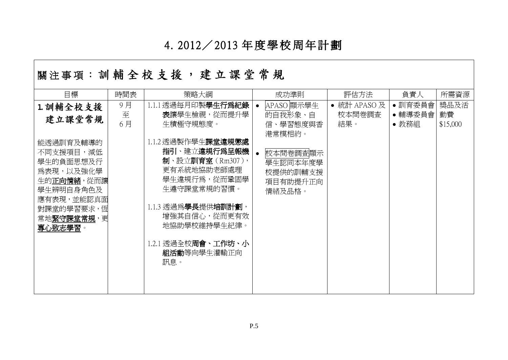# 4. 2012/ 2013 年 度學 校周年 計 劃

|                                                                                                                                                                    |               |                                                                                                                                                                                                                                                                 | - 11 / 2                                                                                              |                              |                            |                        |
|--------------------------------------------------------------------------------------------------------------------------------------------------------------------|---------------|-----------------------------------------------------------------------------------------------------------------------------------------------------------------------------------------------------------------------------------------------------------------|-------------------------------------------------------------------------------------------------------|------------------------------|----------------------------|------------------------|
| 目標                                                                                                                                                                 | 時間表           | 策略大綱                                                                                                                                                                                                                                                            | 成功準則                                                                                                  | 評估方法                         | 負責人                        | 所需資源                   |
| 1. 訓輔全校支援<br>建立課堂常規<br>能透過訓育及輔導的<br>不同支援項目,減低<br>學生的負面思想及行<br>爲表現,以及強化學<br>生的正向情緒,從而讓<br>學生辨明自身角色及<br>應有表現,並能認真面<br>對課堂的學習要求, 恆<br>常地 <u>緊守課堂常規</u> , 更<br>專心致志學習。 | 9月<br>至<br>6月 | 1.1.1透過每月印製學生行爲紀錄<br>表讓學生檢視,從而提升學<br>生積極守規態度。<br>1.1.2 透過製作學生課堂違規懲處<br>指引、建立違規行爲呈報機<br>制、設立訓育室 (Rm307),<br>更有系統地協助老師處理<br>學生違規行爲,從而鞏固學<br>生遵守課堂常規的習慣。<br>1.1.3 透過為學長提供培訓計劃,<br>增強其自信心,從而更有效<br>地協助學校維持學生紀律。<br>1.2.1 透過全校 <b>周會、工作坊、小</b><br>組活動等向學生灌輸正向<br>訊息。 | APASO 顯示學生<br>的自我形象、自<br>信、學習熊度與香<br>港常模相約。<br>校本問卷調査顯示<br>學生認同本年度學<br>校提供的訓輔支援<br>項目有助提升正向<br>情緒及品格。 | • 統計 APASO及<br>校本問卷調査<br>結果。 | • 訓育委員會<br>•輔導委員會<br>• 教務組 | 獎品及活<br>動費<br>\$15,000 |

# |關 注 事 項 : 訓 輔 全 校 支 援 , 建 立 課 堂 常 規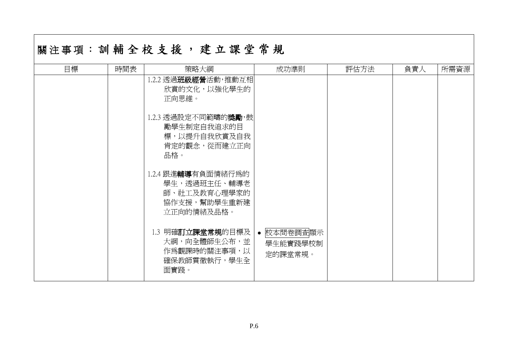|    |     | 關注事項:訓輔全校支援,建立課堂常規                                                                        |                                   |      |     |      |
|----|-----|-------------------------------------------------------------------------------------------|-----------------------------------|------|-----|------|
| 目標 | 時間表 | 策略大綱                                                                                      | 成功準則                              | 評估方法 | 負責人 | 所需資源 |
|    |     | 1.2.2 透過班級經營活動,推動互相<br>欣賞的文化,以強化學生的<br>正向思維。                                              |                                   |      |     |      |
|    |     | 1.2.3 透過設定不同範疇的 <b>獎勵</b> ,鼓<br>勵學生制定自我追求的目<br>標,以提升自我欣賞及自我<br>肯定的觀念,從而建立正向<br>品格。        |                                   |      |     |      |
|    |     | 1.2.4 跟進 <b>輔導</b> 有負面情緒行爲的<br>學生,透過班主任、輔導老<br>師、社工及教育心理學家的<br>協作支援,幫助學生重新建<br>立正向的情緒及品格。 |                                   |      |     |      |
|    |     | 1.3 明確 <b>訂立課堂常規</b> 的目標及<br>大綱,向全體師生公布,並<br>作爲觀課時的關注事項,以<br>確保教師貫徹執行,學生全<br>面實踐。         | • 校本問卷調査顯示<br>學生能實踐學校制<br>定的課堂常規。 |      |     |      |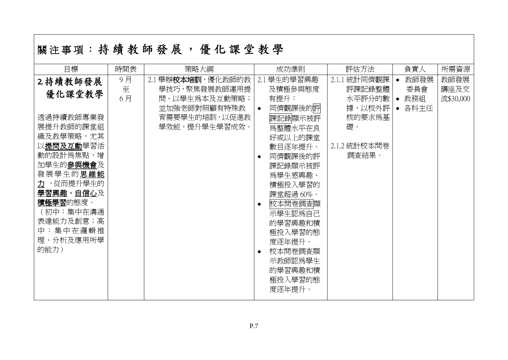|  |  |  |  |  | 關注事項:持續教師發展,優化課堂教學 |
|--|--|--|--|--|--------------------|
|--|--|--|--|--|--------------------|

|                                                                                                                                                                                                                                                                                                                                                                                                                                                                                                                                                                                                                                                                                                                                                                |                                | 所需資源                      |
|----------------------------------------------------------------------------------------------------------------------------------------------------------------------------------------------------------------------------------------------------------------------------------------------------------------------------------------------------------------------------------------------------------------------------------------------------------------------------------------------------------------------------------------------------------------------------------------------------------------------------------------------------------------------------------------------------------------------------------------------------------------|--------------------------------|---------------------------|
| 9月<br>2.1 舉辦校本培訓, 優化教師的教<br>2.1 學生的學習興趣<br>2.1.1 統計同儕觀課<br>2. 持續教師發展<br>$\bullet$<br>至<br>及積極參與態度<br>學技巧,聚焦發展教師運用提<br>評課記錄整體<br>優化課堂教學<br>6月<br>問、以學生爲本及互動策略;<br>有提升:<br>水平評分的數<br>同儕觀課後的評<br>並加強老師對照顧有特殊教<br>據,以校外評<br>$\bullet$<br>透過持續教師專業發<br>育需要學生的培訓,以促進教<br>核的要求爲基<br>課記錄顯示被評<br>展提升教師的課堂組<br>學效能,提升學生學習成效。<br>礎。<br>爲整體水平在良<br>織及教學策略,尤其<br>好或以上的課堂<br>以提問及互動學習活<br>2.1.2 統計校本問卷<br>數目逐年提升。<br>動的設計為焦點,增<br>調査結果。<br>同儕觀課後的評<br>$\bullet$<br>加學生的參與機會及<br>課記錄顯示被評<br>發展學生的思維能<br>爲學生感興趣、<br>力,從而提升學生的<br>積極投入學習的<br>學習興趣、自信心及<br>課堂超過60%。<br>積極學習的態度。<br>校本問卷調査顯<br>$\bullet$<br>(初中:集中在溝通<br>示學生認爲自己<br>表達能力及創意;高<br>的學習興趣和積<br>中:集中在邏輯推<br>極投入學習的態<br>理、分析及應用所學<br>度逐年提升。<br>的能力)<br>校本問卷調査顯<br>$\bullet$<br>示教師認爲學生<br>的學習興趣和積<br>極投入學習的態<br>度逐年提升。 | 教師發展<br>委員會<br>• 教務組<br>• 各科主任 | 教師發展<br>講座及交<br>流\$30,000 |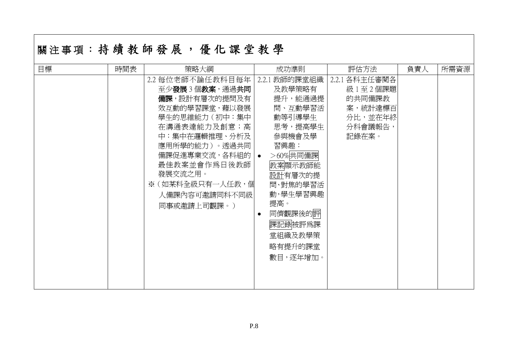# 關注事項:持續教師發展,優化課堂教學

| 目標 | 時間表 | 策略大綱              | 成功準則                 | 評估方法          | 負責人 | 所需資源 |
|----|-----|-------------------|----------------------|---------------|-----|------|
|    |     | 2.2 每位老師不論任教科目每年  | 教師的課堂組織<br>2.2.1     | 2.2.1 各科主任審閲各 |     |      |
|    |     | 至少發展3個教案,通過共同     | 及教學策略有               | 級1至2個課題       |     |      |
|    |     | 備課,設計有層次的提問及有     | 提升,能通過提              | 的共同備課教        |     |      |
|    |     | 效互動的學習課堂,藉以發展     | 問、互動學習活              | 案,統計達標百       |     |      |
|    |     | 學生的思維能力(初中:集中     | 動等引導學生               | 分比,並在年終       |     |      |
|    |     | 在溝通表達能力及創意; 高     | 思考,提高學生              | 分科會議報告,       |     |      |
|    |     | 中:集中在邏輯推理、分析及     | 參與機會及學               | 記錄在案。         |     |      |
|    |     | 應用所學的能力)。透過共同     | 習興趣:                 |               |     |      |
|    |     | 備課促進專業交流,各科組的   • | >60%共同備課             |               |     |      |
|    |     | 最佳教案並會作為日後教師      | 教案顯示教師能              |               |     |      |
|    |     | 發展交流之用。           | 設計有層次的提              |               |     |      |
|    |     | ※(如某科全級只有一人任教,個   | 問、對焦的學習活             |               |     |      |
|    |     | 人備課內容可邀請同科不同級     | 動,學生學習興趣             |               |     |      |
|    |     | 同事或邀請上司觀課。)       | 提高。                  |               |     |      |
|    |     |                   | 同儕觀課後的評<br>$\bullet$ |               |     |      |
|    |     |                   | 課記錄被評爲課              |               |     |      |
|    |     |                   | 堂組織及教學策              |               |     |      |
|    |     |                   |                      |               |     |      |
|    |     |                   | 略有提升的課堂              |               |     |      |
|    |     |                   | 數目,逐年增加。             |               |     |      |
|    |     |                   |                      |               |     |      |
|    |     |                   |                      |               |     |      |
|    |     |                   |                      |               |     |      |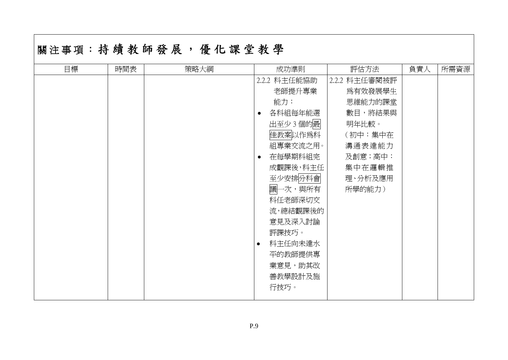| 目標 | 時間表 | 策略大綱 |           | 成功準則         | 評估方法          | 負責人 | 所需資源 |
|----|-----|------|-----------|--------------|---------------|-----|------|
|    |     |      |           | 2.2.2 科主任能協助 | 2.2.2 科主任審閱被評 |     |      |
|    |     |      |           | 老師提升專業       | 爲有效發展學生       |     |      |
|    |     |      |           | 能力:          | 思維能力的課堂       |     |      |
|    |     |      | $\bullet$ | 各科組每年能選      | 數目,將結果與       |     |      |
|    |     |      |           | 出至少3個的最      | 明年比較。         |     |      |
|    |     |      |           | 佳教案以作爲科      | (初中:集中在       |     |      |
|    |     |      |           | 組專業交流之用。     | 溝通表達能力        |     |      |
|    |     |      | $\bullet$ | 在每學期科組完      | 及創意;高中:       |     |      |
|    |     |      |           | 成觀課後,科主任     | 集中在邏輯推        |     |      |
|    |     |      |           | 至少安排分科會      | 理、分析及應用       |     |      |
|    |     |      |           | 議一次,與所有      | 所學的能力)        |     |      |
|    |     |      |           | 科任老師深切交      |               |     |      |
|    |     |      |           | 流,總結觀課後的     |               |     |      |
|    |     |      |           | 意見及深入討論      |               |     |      |
|    |     |      |           | 評課技巧。        |               |     |      |
|    |     |      | $\bullet$ | 科主任向未達水      |               |     |      |
|    |     |      |           | 平的教師提供專      |               |     |      |
|    |     |      |           | 業意見,助其改      |               |     |      |
|    |     |      |           | 善教學設計及施      |               |     |      |
|    |     |      |           | 行技巧。         |               |     |      |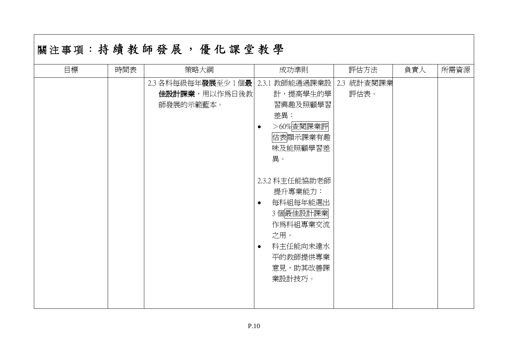| 目標 | 時間表 | 策略大綱                                               | 成功準則                                                                                                                                                                                                                                                      | 評估方法               | 負責人 | 所需資源 |
|----|-----|----------------------------------------------------|-----------------------------------------------------------------------------------------------------------------------------------------------------------------------------------------------------------------------------------------------------------|--------------------|-----|------|
|    |     | 2.3 各科每級每年發展至少 1 個最<br>佳設計課業,用以作為日後教 <br>師發展的示範藍本。 | 教師能通過課業設 <br>2.3.1<br>計,提高學生的學<br>習興趣及照顧學習<br>差異:<br>>60%查閱課業評<br>$\bullet$<br>估表顯示課業有趣<br>味及能照顧學習差<br>異。<br>2.3.2 科主任能協助老師<br>提升專業能力:<br>每科組每年能選出<br>$\bullet$<br>3個最佳設計課業<br>作爲科組專業交流<br>之用。<br>科主任能向未達水<br>$\bullet$<br>平的教師提供專業<br>意見,助其改善課<br>業設計技巧。 | 2.3 統計查閱課業<br>評估表。 |     |      |
|    |     |                                                    |                                                                                                                                                                                                                                                           |                    |     |      |

# **用江市西·扶 庙 址 缸 淼 屁 , 值 儿 细 些 址 鼠**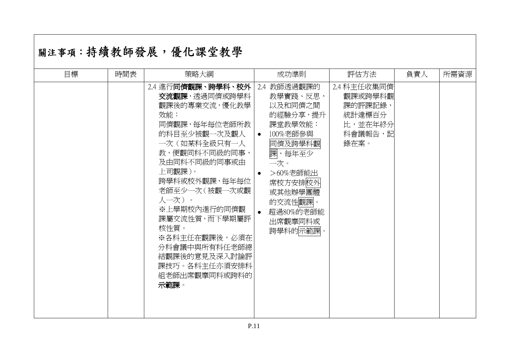# |關注事項:持續教師發展,優化課堂教學

| 目標 | 時間表 | 策略大綱                                                                                                                                                                                                                                                                                                                                     | 成功準則                                                                                                                                                                                                         | 評估方法                                                                      | 負責人 | 所需資源 |
|----|-----|------------------------------------------------------------------------------------------------------------------------------------------------------------------------------------------------------------------------------------------------------------------------------------------------------------------------------------------|--------------------------------------------------------------------------------------------------------------------------------------------------------------------------------------------------------------|---------------------------------------------------------------------------|-----|------|
|    |     | 2.4 進行同儕觀課、跨學科、校外<br>交流觀課,透過同儕或跨學科<br>觀課後的專業交流,優化教學<br>效能:<br>同儕觀課,每年每位老師所教<br>的科目至少被觀一次及觀人<br>一次(如某科全級只有一人<br>教,便觀同科不同級的同事,<br>及由同科不同級的同事或由<br>上司觀課)。<br>跨學科或校外觀課,每年每位<br>老師至少一次 (被觀一次或觀<br>人一次)。<br>※上學期校內進行的同儕觀<br>課屬交流性質,而下學期屬評<br>核性質。<br>※各科主任在觀課後,必須在<br>分科會議中與所有科任老師總<br>結觀課後的意見及深入討論評<br>課技巧。各科主任亦須安排科<br>組老師出席觀摩同科或跨科的<br>示範課。 | 2.4 教師透過觀課的<br>教學實踐、反思,<br>以及和同儕之間<br>的經驗分享,提升<br>課堂教學效能:<br>100%老師參與<br>$\bullet$<br>同儕及跨學科觀<br>課,每年至少<br>一次。<br>>60%老師能出<br>$\bullet$<br>席校方安排校外<br>或其他辦學團體<br>的交流性觀課。<br>超過80%的老師能<br>出席觀摩同科或<br>跨學科的示範課。 | 2.4 科主任收集同儕<br>觀課或跨學科觀<br>課的評課記錄,<br>統計達標百分<br>比,並在年終分<br>科會議報告,記<br>錄在案。 |     |      |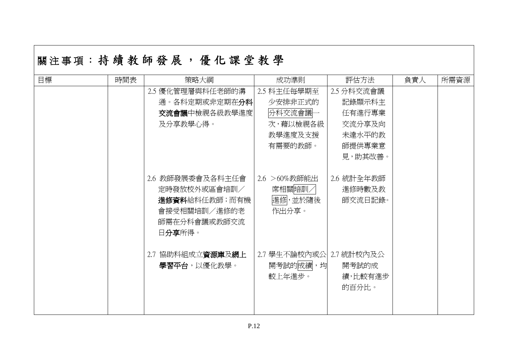|    |     | 關注事項:持 續 教 師 發 展 , 優 化 課 堂 教 學                                                              |                                               |                                 |     |      |
|----|-----|---------------------------------------------------------------------------------------------|-----------------------------------------------|---------------------------------|-----|------|
| 目標 | 時間表 | 策略大綱                                                                                        | 成功準則                                          | 評估方法                            | 負責人 | 所需資源 |
|    |     | 2.5 優化管理層與科任老師的溝                                                                            | 2.5 科主任每學期至                                   | 2.5 分科交流會議                      |     |      |
|    |     | 通。各科定期或非定期在分科                                                                               | 少安排非正式的                                       | 記錄顯示科主                          |     |      |
|    |     | <b>交流會議</b> 中檢視各級教學進度                                                                       | 分科交流會議一                                       | 任有進行專業                          |     |      |
|    |     | 及分享教學心得。                                                                                    | 次,藉以檢視各級                                      | 交流分享及向                          |     |      |
|    |     |                                                                                             | 教學進度及支援                                       | 未達水平的教                          |     |      |
|    |     |                                                                                             | 有需要的教師。                                       | 師提供專業意                          |     |      |
|    |     |                                                                                             |                                               | 見,助其改善。                         |     |      |
|    |     | 2.6 教師發展委會及各科主任會<br>定時發放校外或區會培訓/<br>進修資料給科任教師;而有機<br>會接受相關培訓/進修的老<br>師需在分科會議或教師交流<br>日分享所得。 | 2.6 > 60%教師能出<br>席相關培訓/<br>進修,並於隨後<br>作出分享。   | 2.6 統計全年教師<br>進修時數及教<br>師交流日記錄。 |     |      |
|    |     | 2.7 協助科組成立資源庫及網上<br>學習平台,以優化教學。                                                             | 2.7 學生不論校內或公 2.7 統計校內及公<br>開考試的成績,均<br>較上年進步。 | 開考試的成<br>績,比較有進步<br>的百分比。       |     |      |

# $\overline{a}$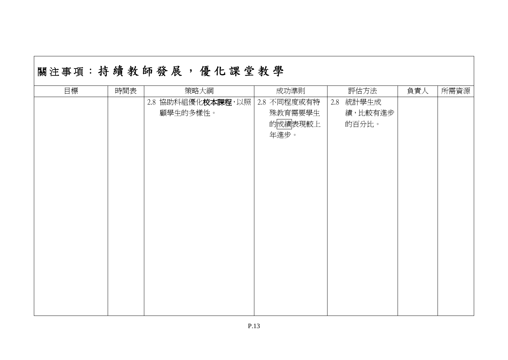| 目標 | 時間表 | 策略大綱              | 成功準則        | 評估方法         | 負責人 | 所需資源 |
|----|-----|-------------------|-------------|--------------|-----|------|
|    |     | 2.8 協助科組優化校本課程,以照 | 2.8 不同程度或有特 | 統計學生成<br>2.8 |     |      |
|    |     | 顧學生的多樣性。          | 殊教育需要學生     | 績,比較有進步      |     |      |
|    |     |                   | 的成績表現較上     | 的百分比。        |     |      |
|    |     |                   | 年進步。        |              |     |      |
|    |     |                   |             |              |     |      |
|    |     |                   |             |              |     |      |
|    |     |                   |             |              |     |      |
|    |     |                   |             |              |     |      |
|    |     |                   |             |              |     |      |
|    |     |                   |             |              |     |      |
|    |     |                   |             |              |     |      |
|    |     |                   |             |              |     |      |
|    |     |                   |             |              |     |      |
|    |     |                   |             |              |     |      |
|    |     |                   |             |              |     |      |
|    |     |                   |             |              |     |      |
|    |     |                   |             |              |     |      |
|    |     |                   |             |              |     |      |
|    |     |                   |             |              |     |      |
|    |     |                   |             |              |     |      |

# 關注事項: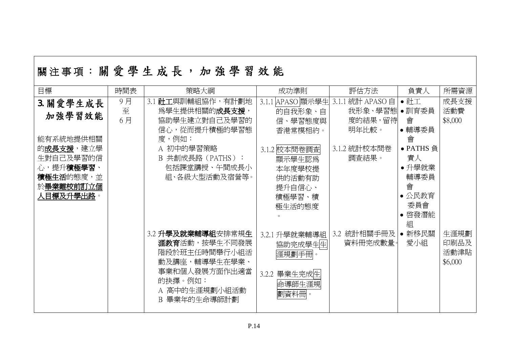| 目標                                                                        | 時間表     | 策略大綱                                                                                                                                      | 成功準則                                                                     | 評估方法                           | 負責人                                                               | 所需資源                            |
|---------------------------------------------------------------------------|---------|-------------------------------------------------------------------------------------------------------------------------------------------|--------------------------------------------------------------------------|--------------------------------|-------------------------------------------------------------------|---------------------------------|
| 3. 關愛學生成長<br>加強學習效能                                                       | 9月<br>至 | 3.1 社工與訓輔組協作,有計劃地<br>為學生提供相關的成長支援,                                                                                                        | APASO 顯示學生<br>3.1.1<br>的自我形象、自                                           | 統計 APASO 自<br>3.1.1<br>我形象、學習態 | $\bullet$ 社工<br>•訓育委員                                             | 成長支援<br>活動費                     |
| 能有系統地提供相關                                                                 | 6月      | 協助學生建立對自己及學習的<br>信心,從而提升積極的學習態<br>度,例如:                                                                                                   | 信、學習態度與<br>香港常模相約。                                                       | 度的結果,留待<br>明年比較。               | 會<br>● 輔導委員<br>會                                                  | \$8,000                         |
| 的成長支援,建立學<br>生對自己及學習的信<br>心,提升積極學習、<br>積極生活的態度,並<br>於畢業離校前訂立個<br>人目標及升學出路 |         | A 初中的學習策略<br>B 共創成長路 (PATHS):<br>包括課堂講授、午間成長小<br>組、各級大型活動及宿營等。                                                                            | 3.1.2 校本問卷調査<br>顯示學生認爲<br>本年度學校提<br>供的活動有助<br>提升自信心、<br>積極學習、積<br>極生活的態度 | 3.1.2 統計校本問卷<br>調査結果。          | • PATHS 負<br>責人<br>• 升學就業<br>輔導委員<br>會<br>• 公民教育<br>委員會<br>• 啓發潛能 |                                 |
|                                                                           |         | 3.2 升學及就業輔導組安排常規生<br><b>涯教育</b> 活動,按學生不同發展<br>階段於班主任時間舉行小組活<br>動及講座,輔導學生在學業、<br>事業和個人發展方面作出適當<br>的抉擇。例如:<br>A 高中的生涯規劃小組活動<br>B 畢業年的生命導師計劃 | 3.2.1 升學就業輔導組<br>協助完成學生生<br>涯規劃手冊。<br>3.2.2 畢業生完成生<br>命導師生涯規<br>劃資料冊     | 3.2 統計相關手冊及<br>資料冊完成數量。        | 組<br>• 新移民關<br>愛小組                                                | 生涯規劃<br>印刷品及<br>活動津貼<br>\$6,000 |

# 關注事項:關愛學生成長,加強學習效能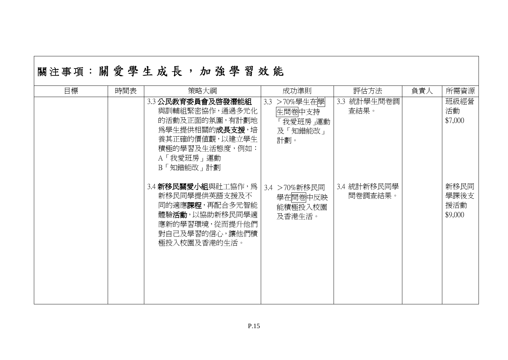| 目標 | 時間表 | 策略大綱                                                                                                                                           | 成功準則                                                    | 評估方法                   | 負責人 | 所需資源                           |
|----|-----|------------------------------------------------------------------------------------------------------------------------------------------------|---------------------------------------------------------|------------------------|-----|--------------------------------|
|    |     | 3.3 公民教育委員會及啓發潛能組<br>與訓輔組緊密協作,通過多元化<br>的活動及正面的氛圍,有計劃地<br>為學生提供相關的 <b>成長支援</b> ,培<br>養其正確的價值觀,以建立學生<br>積極的學習及生活態度,例如:<br>A「我愛班房」運動<br>B「知錯能改」計劃 | >70%學生在學<br>3.3<br>生問卷中支持<br>「我愛班房」運動<br>及「知錯能改」<br>計劃。 | 統計學生問卷調<br>3.3<br>查結果。 |     | 班級經營<br>活動<br>\$7,000          |
|    |     | 3.4 新移民關愛小組與社工協作,為<br>新移民同學提供英語支援及不<br>同的適應課程,再配合多元智能<br>體驗活動,以協助新移民同學適<br>應新的學習環境,從而提升他們<br>對自己及學習的信心,讓他們積<br>極投入校園及香港的生活。                    | 3.4 >70%新移民同<br>學在問卷中反映<br>能積極投入校園<br>及香港生活。            | 3.4 統計新移民同學<br>問卷調查結果。 |     | 新移民同<br>學課後支<br>援活動<br>\$9,000 |

# 關注事項:關愛學生成長,加強學習效能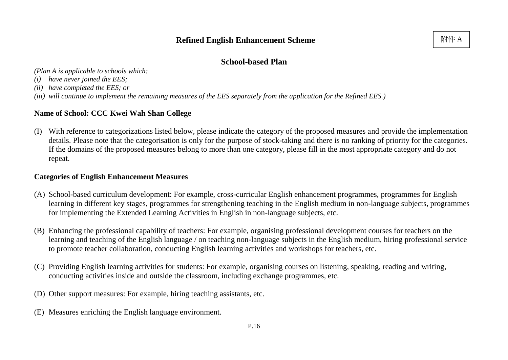*(Plan A is applicable to schools which:*

- *(i) have never joined the EES;*
- *(ii) have completed the EES; or*
- *(iii) will continue to implement the remaining measures of the EES separately from the application for the Refined EES.)*

### **Name of School: CCC Kwei Wah Shan College**

(I) With reference to categorizations listed below, please indicate the category of the proposed measures and provide the implementation details. Please note that the categorisation is only for the purpose of stock-taking and there is no ranking of priority for the categories. If the domains of the proposed measures belong to more than one category, please fill in the most appropriate category and do not repeat.

### **Categories of English Enhancement Measures**

- (A) School-based curriculum development: For example, cross-curricular English enhancement programmes, programmes for English learning in different key stages, programmes for strengthening teaching in the English medium in non-language subjects, programmes for implementing the Extended Learning Activities in English in non-language subjects, etc.
- (B) Enhancing the professional capability of teachers: For example, organising professional development courses for teachers on the learning and teaching of the English language / on teaching non-language subjects in the English medium, hiring professional service to promote teacher collaboration, conducting English learning activities and workshops for teachers, etc.
- (C) Providing English learning activities for students: For example, organising courses on listening, speaking, reading and writing, conducting activities inside and outside the classroom, including exchange programmes, etc.
- (D) Other support measures: For example, hiring teaching assistants, etc.
- (E) Measures enriching the English language environment.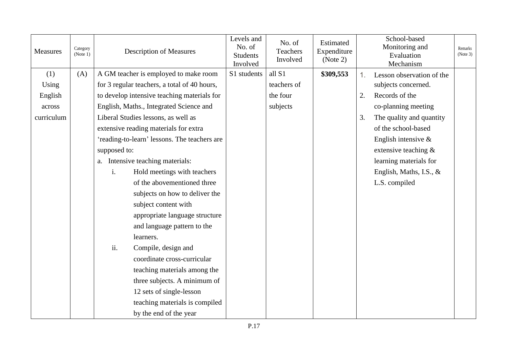| <b>Measures</b> | Category<br>(Note 1) |     | <b>Description of Measures</b>               | Levels and<br>No. of<br><b>Students</b><br>Involved | No. of<br>Teachers<br>Involved | Estimated<br>Expenditure<br>(Note 2) |    | School-based<br>Monitoring and<br>Evaluation<br>Mechanism | Remarks<br>(Note 3) |
|-----------------|----------------------|-----|----------------------------------------------|-----------------------------------------------------|--------------------------------|--------------------------------------|----|-----------------------------------------------------------|---------------------|
| (1)             | (A)                  |     | A GM teacher is employed to make room        | S1 students                                         | all S1                         | \$309,553                            | 1. | Lesson observation of the                                 |                     |
| Using           |                      |     | for 3 regular teachers, a total of 40 hours, |                                                     | teachers of                    |                                      |    | subjects concerned.                                       |                     |
| English         |                      |     | to develop intensive teaching materials for  |                                                     | the four                       |                                      | 2. | Records of the                                            |                     |
| across          |                      |     | English, Maths., Integrated Science and      |                                                     | subjects                       |                                      |    | co-planning meeting                                       |                     |
| curriculum      |                      |     | Liberal Studies lessons, as well as          |                                                     |                                |                                      | 3. | The quality and quantity                                  |                     |
|                 |                      |     | extensive reading materials for extra        |                                                     |                                |                                      |    | of the school-based                                       |                     |
|                 |                      |     | 'reading-to-learn' lessons. The teachers are |                                                     |                                |                                      |    | English intensive $\&$                                    |                     |
|                 |                      |     | supposed to:                                 |                                                     |                                |                                      |    | extensive teaching $\&$                                   |                     |
|                 |                      |     | a. Intensive teaching materials:             |                                                     |                                |                                      |    | learning materials for                                    |                     |
|                 |                      | i.  | Hold meetings with teachers                  |                                                     |                                |                                      |    | English, Maths, I.S., &                                   |                     |
|                 |                      |     | of the abovementioned three                  |                                                     |                                |                                      |    | L.S. compiled                                             |                     |
|                 |                      |     | subjects on how to deliver the               |                                                     |                                |                                      |    |                                                           |                     |
|                 |                      |     | subject content with                         |                                                     |                                |                                      |    |                                                           |                     |
|                 |                      |     | appropriate language structure               |                                                     |                                |                                      |    |                                                           |                     |
|                 |                      |     | and language pattern to the                  |                                                     |                                |                                      |    |                                                           |                     |
|                 |                      |     | learners.                                    |                                                     |                                |                                      |    |                                                           |                     |
|                 |                      | ii. | Compile, design and                          |                                                     |                                |                                      |    |                                                           |                     |
|                 |                      |     | coordinate cross-curricular                  |                                                     |                                |                                      |    |                                                           |                     |
|                 |                      |     | teaching materials among the                 |                                                     |                                |                                      |    |                                                           |                     |
|                 |                      |     | three subjects. A minimum of                 |                                                     |                                |                                      |    |                                                           |                     |
|                 |                      |     | 12 sets of single-lesson                     |                                                     |                                |                                      |    |                                                           |                     |
|                 |                      |     | teaching materials is compiled               |                                                     |                                |                                      |    |                                                           |                     |
|                 |                      |     | by the end of the year                       |                                                     |                                |                                      |    |                                                           |                     |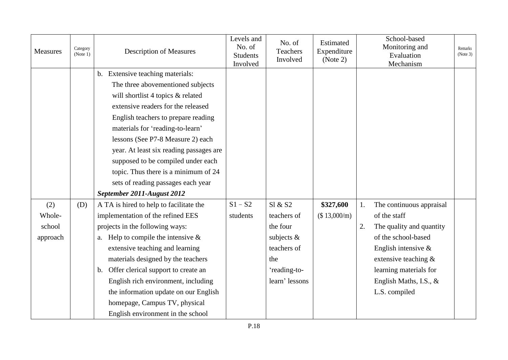| <b>Measures</b> | Category<br>(Note 1) | <b>Description of Measures</b>          | Levels and<br>No. of<br><b>Students</b><br>Involved | No. of<br><b>Teachers</b><br>Involved | Estimated<br>Expenditure<br>(Note 2) |    | School-based<br>Monitoring and<br>Evaluation<br>Mechanism | Remarks<br>(Note 3) |
|-----------------|----------------------|-----------------------------------------|-----------------------------------------------------|---------------------------------------|--------------------------------------|----|-----------------------------------------------------------|---------------------|
|                 |                      | b. Extensive teaching materials:        |                                                     |                                       |                                      |    |                                                           |                     |
|                 |                      | The three abovementioned subjects       |                                                     |                                       |                                      |    |                                                           |                     |
|                 |                      | will shortlist 4 topics & related       |                                                     |                                       |                                      |    |                                                           |                     |
|                 |                      | extensive readers for the released      |                                                     |                                       |                                      |    |                                                           |                     |
|                 |                      | English teachers to prepare reading     |                                                     |                                       |                                      |    |                                                           |                     |
|                 |                      | materials for 'reading-to-learn'        |                                                     |                                       |                                      |    |                                                           |                     |
|                 |                      | lessons (See P7-8 Measure 2) each       |                                                     |                                       |                                      |    |                                                           |                     |
|                 |                      | year. At least six reading passages are |                                                     |                                       |                                      |    |                                                           |                     |
|                 |                      | supposed to be compiled under each      |                                                     |                                       |                                      |    |                                                           |                     |
|                 |                      | topic. Thus there is a minimum of 24    |                                                     |                                       |                                      |    |                                                           |                     |
|                 |                      | sets of reading passages each year      |                                                     |                                       |                                      |    |                                                           |                     |
|                 |                      | September 2011-August 2012              |                                                     |                                       |                                      |    |                                                           |                     |
| (2)             | (D)                  | A TA is hired to help to facilitate the | $S1 - S2$                                           | SI & S2                               | \$327,600                            | 1. | The continuous appraisal                                  |                     |
| Whole-          |                      | implementation of the refined EES       | students                                            | teachers of                           | (\$ 13,000/m)                        |    | of the staff                                              |                     |
| school          |                      | projects in the following ways:         |                                                     | the four                              |                                      | 2. | The quality and quantity                                  |                     |
| approach        |                      | a. Help to compile the intensive $\&$   |                                                     | subjects &                            |                                      |    | of the school-based                                       |                     |
|                 |                      | extensive teaching and learning         |                                                     | teachers of                           |                                      |    | English intensive $\&$                                    |                     |
|                 |                      | materials designed by the teachers      |                                                     | the                                   |                                      |    | extensive teaching $\&$                                   |                     |
|                 |                      | b. Offer clerical support to create an  |                                                     | 'reading-to-                          |                                      |    | learning materials for                                    |                     |
|                 |                      | English rich environment, including     |                                                     | learn' lessons                        |                                      |    | English Maths, I.S., &                                    |                     |
|                 |                      | the information update on our English   |                                                     |                                       |                                      |    | L.S. compiled                                             |                     |
|                 |                      | homepage, Campus TV, physical           |                                                     |                                       |                                      |    |                                                           |                     |
|                 |                      | English environment in the school       |                                                     |                                       |                                      |    |                                                           |                     |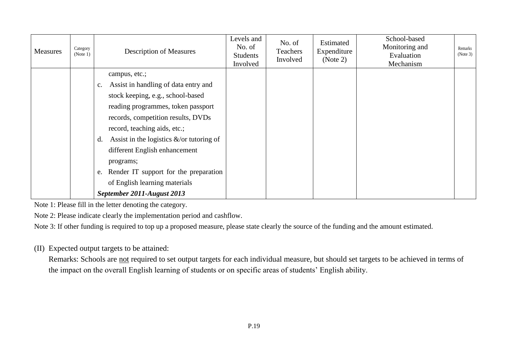| Measures | Category<br>(Note 1) | <b>Description of Measures</b>                                                                                      | Levels and<br>No. of<br><b>Students</b><br>Involved | No. of<br>Teachers<br>Involved | Estimated<br>Expenditure<br>(Note 2) | School-based<br>Monitoring and<br>Evaluation<br>Mechanism | Remarks<br>(Note 3) |
|----------|----------------------|---------------------------------------------------------------------------------------------------------------------|-----------------------------------------------------|--------------------------------|--------------------------------------|-----------------------------------------------------------|---------------------|
|          |                      | campus, etc.;<br>Assist in handling of data entry and<br>c.<br>stock keeping, e.g., school-based                    |                                                     |                                |                                      |                                                           |                     |
|          |                      | reading programmes, token passport<br>records, competition results, DVDs                                            |                                                     |                                |                                      |                                                           |                     |
|          |                      | record, teaching aids, etc.;<br>Assist in the logistics $\&$ /or tutoring of<br>d.<br>different English enhancement |                                                     |                                |                                      |                                                           |                     |
|          |                      | programs;<br>e. Render IT support for the preparation                                                               |                                                     |                                |                                      |                                                           |                     |
|          |                      | of English learning materials<br>September 2011-August 2013                                                         |                                                     |                                |                                      |                                                           |                     |

Note 1: Please fill in the letter denoting the category.

Note 2: Please indicate clearly the implementation period and cashflow.

Note 3: If other funding is required to top up a proposed measure, please state clearly the source of the funding and the amount estimated.

(II) Expected output targets to be attained:

Remarks: Schools are not required to set output targets for each individual measure, but should set targets to be achieved in terms of the impact on the overall English learning of students or on specific areas of students' English ability.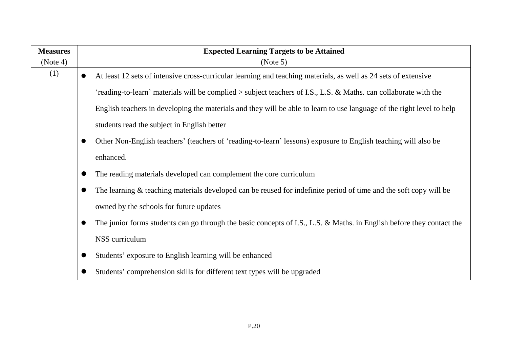| <b>Measures</b> | <b>Expected Learning Targets to be Attained</b>                                                                        |
|-----------------|------------------------------------------------------------------------------------------------------------------------|
| (Note 4)        | (Note 5)                                                                                                               |
| (1)             | At least 12 sets of intensive cross-curricular learning and teaching materials, as well as 24 sets of extensive        |
|                 | 'reading-to-learn' materials will be complied > subject teachers of I.S., L.S. & Maths. can collaborate with the       |
|                 | English teachers in developing the materials and they will be able to learn to use language of the right level to help |
|                 | students read the subject in English better                                                                            |
|                 | Other Non-English teachers' (teachers of 'reading-to-learn' lessons) exposure to English teaching will also be         |
|                 | enhanced.                                                                                                              |
|                 | The reading materials developed can complement the core curriculum                                                     |
|                 | The learning & teaching materials developed can be reused for indefinite period of time and the soft copy will be      |
|                 | owned by the schools for future updates                                                                                |
|                 | The junior forms students can go through the basic concepts of I.S., L.S. & Maths. in English before they contact the  |
|                 | NSS curriculum                                                                                                         |
|                 | Students' exposure to English learning will be enhanced                                                                |
|                 | Students' comprehension skills for different text types will be upgraded                                               |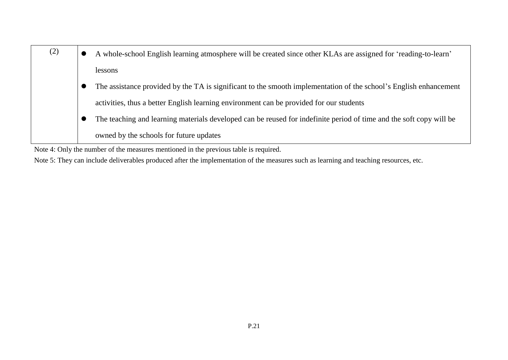| (2) | A whole-school English learning atmosphere will be created since other KLAs are assigned for 'reading-to-learn'     |
|-----|---------------------------------------------------------------------------------------------------------------------|
|     | lessons                                                                                                             |
|     | The assistance provided by the TA is significant to the smooth implementation of the school's English enhancement   |
|     | activities, thus a better English learning environment can be provided for our students                             |
|     | The teaching and learning materials developed can be reused for indefinite period of time and the soft copy will be |
|     | owned by the schools for future updates                                                                             |

Note 4: Only the number of the measures mentioned in the previous table is required.

Note 5: They can include deliverables produced after the implementation of the measures such as learning and teaching resources, etc.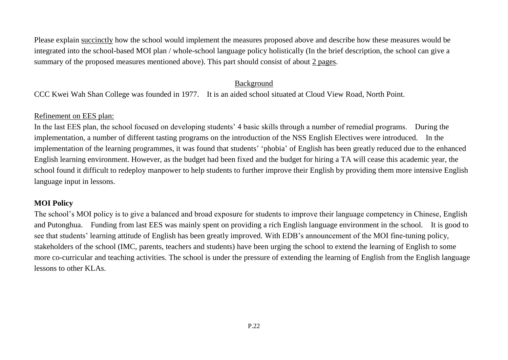Please explain succinctly how the school would implement the measures proposed above and describe how these measures would be integrated into the school-based MOI plan / whole-school language policy holistically (In the brief description, the school can give a summary of the proposed measures mentioned above). This part should consist of about 2 pages.

#### Background

CCC Kwei Wah Shan College was founded in 1977. It is an aided school situated at Cloud View Road, North Point.

#### Refinement on EES plan:

In the last EES plan, the school focused on developing students' 4 basic skills through a number of remedial programs. During the implementation, a number of different tasting programs on the introduction of the NSS English Electives were introduced. In the implementation of the learning programmes, it was found that students' 'phobia' of English has been greatly reduced due to the enhanced English learning environment. However, as the budget had been fixed and the budget for hiring a TA will cease this academic year, the school found it difficult to redeploy manpower to help students to further improve their English by providing them more intensive English language input in lessons.

### **MOI Policy**

The school's MOI policy is to give a balanced and broad exposure for students to improve their language competency in Chinese, English and Putonghua. Funding from last EES was mainly spent on providing a rich English language environment in the school. It is good to see that students' learning attitude of English has been greatly improved. With EDB's announcement of the MOI fine-tuning policy, stakeholders of the school (IMC, parents, teachers and students) have been urging the school to extend the learning of English to some more co-curricular and teaching activities. The school is under the pressure of extending the learning of English from the English language lessons to other KLAs.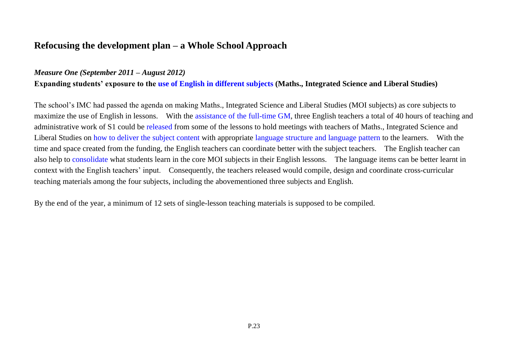### **Refocusing the development plan – a Whole School Approach**

#### *Measure One (September 2011 – August 2012)*

**Expanding students' exposure to the use of English in different subjects (Maths., Integrated Science and Liberal Studies)**

The school's IMC had passed the agenda on making Maths., Integrated Science and Liberal Studies (MOI subjects) as core subjects to maximize the use of English in lessons. With the assistance of the full-time GM, three English teachers a total of 40 hours of teaching and administrative work of S1 could be released from some of the lessons to hold meetings with teachers of Maths., Integrated Science and Liberal Studies on how to deliver the subject content with appropriate language structure and language pattern to the learners. With the time and space created from the funding, the English teachers can coordinate better with the subject teachers. The English teacher can also help to consolidate what students learn in the core MOI subjects in their English lessons. The language items can be better learnt in context with the English teachers' input. Consequently, the teachers released would compile, design and coordinate cross-curricular teaching materials among the four subjects, including the abovementioned three subjects and English.

By the end of the year, a minimum of 12 sets of single-lesson teaching materials is supposed to be compiled.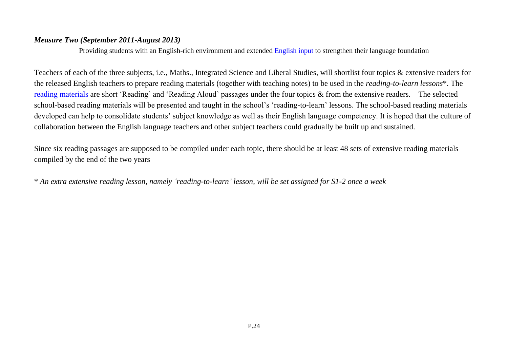#### *Measure Two (September 2011-August 2013)*

Providing students with an English-rich environment and extended English input to strengthen their language foundation

Teachers of each of the three subjects, i.e., Maths., Integrated Science and Liberal Studies, will shortlist four topics & extensive readers for the released English teachers to prepare reading materials (together with teaching notes) to be used in the *reading-to-learn lessons*\*. The reading materials are short 'Reading' and 'Reading Aloud' passages under the four topics & from the extensive readers. The selected school-based reading materials will be presented and taught in the school's 'reading-to-learn' lessons. The school-based reading materials developed can help to consolidate students' subject knowledge as well as their English language competency. It is hoped that the culture of collaboration between the English language teachers and other subject teachers could gradually be built up and sustained.

Since six reading passages are supposed to be compiled under each topic, there should be at least 48 sets of extensive reading materials compiled by the end of the two years

\* *An extra extensive reading lesson, namely 'reading-to-learn' lesson, will be set assigned for S1-2 once a week*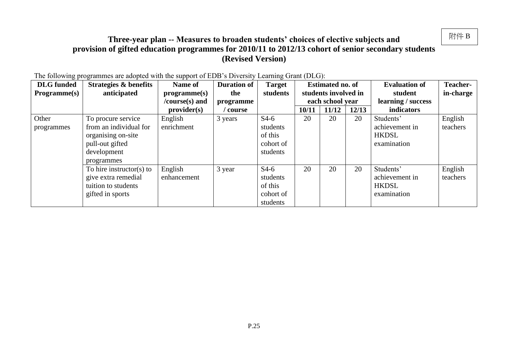### **Three-year plan -- Measures to broaden students' choices of elective subjects and provision of gifted education programmes for 2010/11 to 2012/13 cohort of senior secondary students (Revised Version)**

| <b>DLG</b> funded   | $\frac{1}{100}$ following programmes are adopted while the support of EDD is Diversity Beaming Stand (DBS).<br><b>Strategies &amp; benefits</b> | Name of        | <b>Duration of</b> | <b>Target</b> |       | <b>Estimated no. of</b> |       | <b>Evaluation of</b> | <b>Teacher-</b> |
|---------------------|-------------------------------------------------------------------------------------------------------------------------------------------------|----------------|--------------------|---------------|-------|-------------------------|-------|----------------------|-----------------|
| <b>Programme(s)</b> | anticipated                                                                                                                                     | programme(s)   | the                | students      |       | students involved in    |       | student              | in-charge       |
|                     |                                                                                                                                                 | /course(s) and | programme          |               |       | each school year        |       | learning / success   |                 |
|                     |                                                                                                                                                 | provider(s)    | course             |               | 10/11 | 11/12                   | 12/13 | indicators           |                 |
| Other               | To procure service                                                                                                                              | English        | 3 years            | $S4-6$        | 20    | 20                      | 20    | Students'            | English         |
| programmes          | from an individual for                                                                                                                          | enrichment     |                    | students      |       |                         |       | achievement in       | teachers        |
|                     | organising on-site                                                                                                                              |                |                    | of this       |       |                         |       | <b>HKDSL</b>         |                 |
|                     | pull-out gifted                                                                                                                                 |                |                    | cohort of     |       |                         |       | examination          |                 |
|                     | development                                                                                                                                     |                |                    | students      |       |                         |       |                      |                 |
|                     | programmes                                                                                                                                      |                |                    |               |       |                         |       |                      |                 |
|                     | To hire instructor(s) to                                                                                                                        | English        | 3 year             | $S4-6$        | 20    | 20                      | 20    | Students'            | English         |
|                     | give extra remedial                                                                                                                             | enhancement    |                    | students      |       |                         |       | achievement in       | teachers        |
|                     | tuition to students                                                                                                                             |                |                    | of this       |       |                         |       | <b>HKDSL</b>         |                 |
|                     | gifted in sports                                                                                                                                |                |                    | cohort of     |       |                         |       | examination          |                 |
|                     |                                                                                                                                                 |                |                    | students      |       |                         |       |                      |                 |

The following programmes are adopted with the support of EDB's Diversity Learning Grant (DLG):

附件 B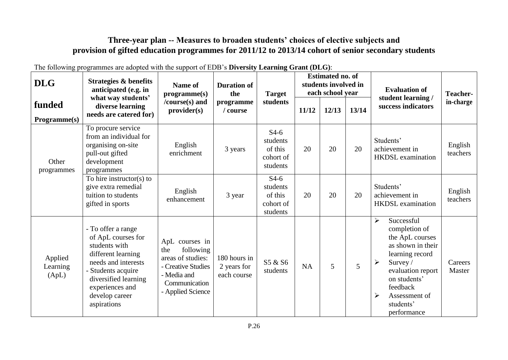### **Three-year plan -- Measures to broaden students' choices of elective subjects and provision of gifted education programmes for 2011/12 to 2013/14 cohort of senior secondary students**

| <b>DLG</b>                   | <b>Strategies &amp; benefits</b><br>anticipated (e.g. in                                                                                                                                                 | <b>Name of</b><br>programme(s)                                                                                                     | <b>Duration of</b><br>the<br>programme<br>/ course | <b>Target</b>                                          | <b>Estimated no. of</b><br>students involved in<br>each school year |       |       | <b>Evaluation of</b>                                                                                                                                                                                                                                                       | <b>Teacher-</b>     |
|------------------------------|----------------------------------------------------------------------------------------------------------------------------------------------------------------------------------------------------------|------------------------------------------------------------------------------------------------------------------------------------|----------------------------------------------------|--------------------------------------------------------|---------------------------------------------------------------------|-------|-------|----------------------------------------------------------------------------------------------------------------------------------------------------------------------------------------------------------------------------------------------------------------------------|---------------------|
| funded<br>Programme(s)       | what way students'<br>diverse learning<br>needs are catered for)                                                                                                                                         | /course(s) and<br>provider(s)                                                                                                      |                                                    | students                                               | 11/12                                                               | 12/13 | 13/14 | student learning /<br>success indicators                                                                                                                                                                                                                                   | in-charge           |
| Other<br>programmes          | To procure service<br>from an individual for<br>organising on-site<br>pull-out gifted<br>development<br>programmes                                                                                       | English<br>enrichment                                                                                                              | 3 years                                            | $S4-6$<br>students<br>of this<br>cohort of<br>students | 20                                                                  | 20    | 20    | Students'<br>achievement in<br><b>HKDSL</b> examination                                                                                                                                                                                                                    | English<br>teachers |
|                              | To hire instructor(s) to<br>give extra remedial<br>tuition to students<br>gifted in sports                                                                                                               | English<br>enhancement                                                                                                             | 3 year                                             | $S4-6$<br>students<br>of this<br>cohort of<br>students | 20                                                                  | 20    | 20    | Students'<br>achievement in<br><b>HKDSL</b> examination                                                                                                                                                                                                                    | English<br>teachers |
| Applied<br>Learning<br>(ApL) | - To offer a range<br>of ApL courses for<br>students with<br>different learning<br>needs and interests<br>- Students acquire<br>diversified learning<br>experiences and<br>develop career<br>aspirations | ApL courses in<br>following<br>the<br>areas of studies:<br>- Creative Studies<br>- Media and<br>Communication<br>- Applied Science | 180 hours in<br>2 years for<br>each course         | S5 & S6<br>students                                    | <b>NA</b>                                                           | 5     | 5     | Successful<br>$\blacktriangleright$<br>completion of<br>the ApL courses<br>as shown in their<br>learning record<br>$\blacktriangleright$<br>Survey/<br>evaluation report<br>on students'<br>feedback<br>$\blacktriangleright$<br>Assessment of<br>students'<br>performance | Careers<br>Master   |

The following programmes are adopted with the support of EDB's **Diversity Learning Grant (DLG)**: